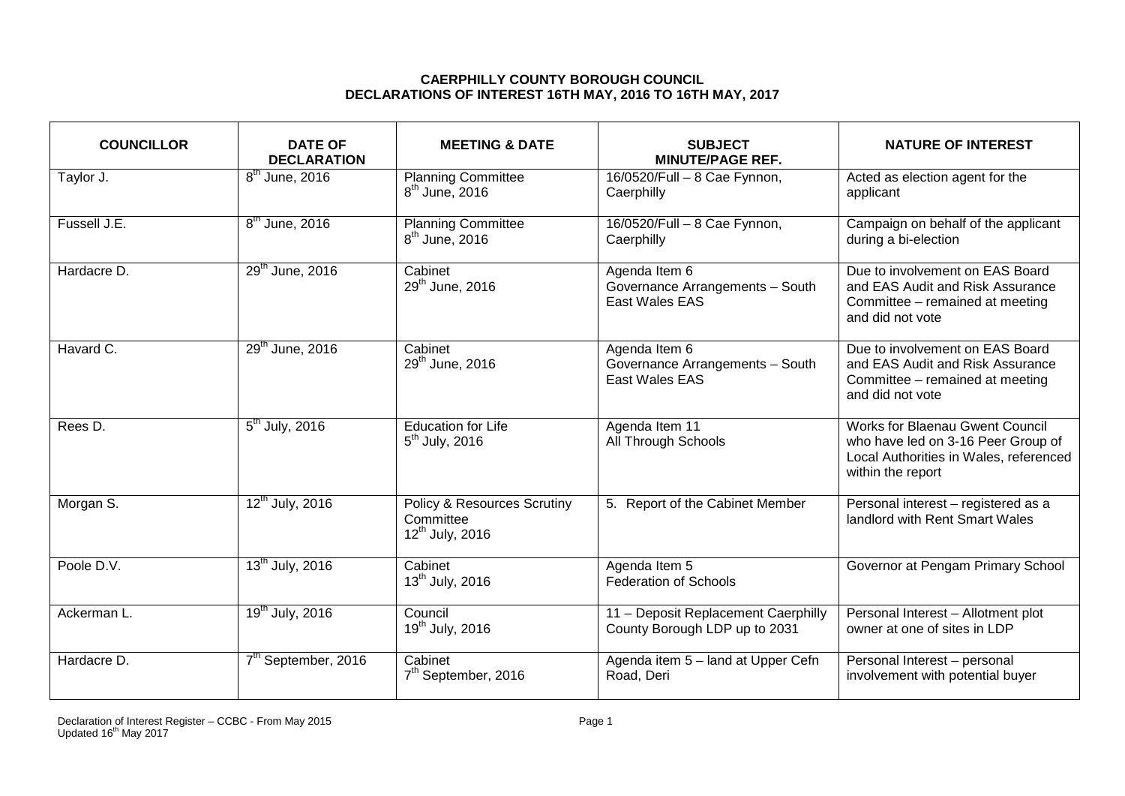## **CAERPHILLY COUNTY BOROUGH COUNCIL DECLARATIONS OF INTEREST 16TH MAY, 2016 TO 16TH MAY, 2017**

| <b>COUNCILLOR</b> | <b>DATE OF</b><br><b>DECLARATION</b> | <b>MEETING &amp; DATE</b>                                                          | <b>SUBJECT</b><br><b>MINUTE/PAGE REF.</b>                            | <b>NATURE OF INTEREST</b>                                                                                                                   |
|-------------------|--------------------------------------|------------------------------------------------------------------------------------|----------------------------------------------------------------------|---------------------------------------------------------------------------------------------------------------------------------------------|
| Taylor J.         | $8th$ June, 2016                     | <b>Planning Committee</b><br>$8th$ June, 2016                                      | 16/0520/Full - 8 Cae Fynnon,<br>Caerphilly                           | Acted as election agent for the<br>applicant                                                                                                |
| Fussell J.E.      | 8 <sup>th</sup> June, 2016           | <b>Planning Committee</b><br>$8th$ June, 2016                                      | 16/0520/Full - 8 Cae Fynnon,<br>Caerphilly                           | Campaign on behalf of the applicant<br>during a bi-election                                                                                 |
| Hardacre D.       | 29 <sup>th</sup> June, 2016          | Cabinet<br>29 <sup>th</sup> June, 2016                                             | Agenda Item 6<br>Governance Arrangements - South<br>East Wales EAS   | Due to involvement on EAS Board<br>and EAS Audit and Risk Assurance<br>Committee - remained at meeting<br>and did not vote                  |
| Havard C.         | 29 <sup>th</sup> June, 2016          | $\overline{\text{C}}$ abinet<br>29 <sup>th</sup> June, 2016                        | Agenda Item 6<br>Governance Arrangements - South<br>East Wales EAS   | Due to involvement on EAS Board<br>and EAS Audit and Risk Assurance<br>Committee - remained at meeting<br>and did not vote                  |
| Rees D.           | $5th$ July, 2016                     | <b>Education for Life</b><br>$5th$ July, 2016                                      | Agenda Item 11<br>All Through Schools                                | <b>Works for Blaenau Gwent Council</b><br>who have led on 3-16 Peer Group of<br>Local Authorities in Wales, referenced<br>within the report |
| Morgan S.         | 12 <sup>th</sup> July, 2016          | <b>Policy &amp; Resources Scrutiny</b><br>Committee<br>12 <sup>th</sup> July, 2016 | 5. Report of the Cabinet Member                                      | Personal interest - registered as a<br>landlord with Rent Smart Wales                                                                       |
| Poole D.V.        | 13 <sup>th</sup> July, 2016          | Cabinet<br>$13^{th}$ July, 2016                                                    | Agenda Item 5<br><b>Federation of Schools</b>                        | Governor at Pengam Primary School                                                                                                           |
| Ackerman L.       | 19 <sup>th</sup> July, 2016          | Council<br>19 <sup>th</sup> July, 2016                                             | 11 - Deposit Replacement Caerphilly<br>County Borough LDP up to 2031 | Personal Interest - Allotment plot<br>owner at one of sites in LDP                                                                          |
| Hardacre D.       | 7 <sup>th</sup> September, 2016      | Cabinet<br>7 <sup>th</sup> September, 2016                                         | Agenda item 5 - land at Upper Cefn<br>Road, Deri                     | Personal Interest - personal<br>involvement with potential buyer                                                                            |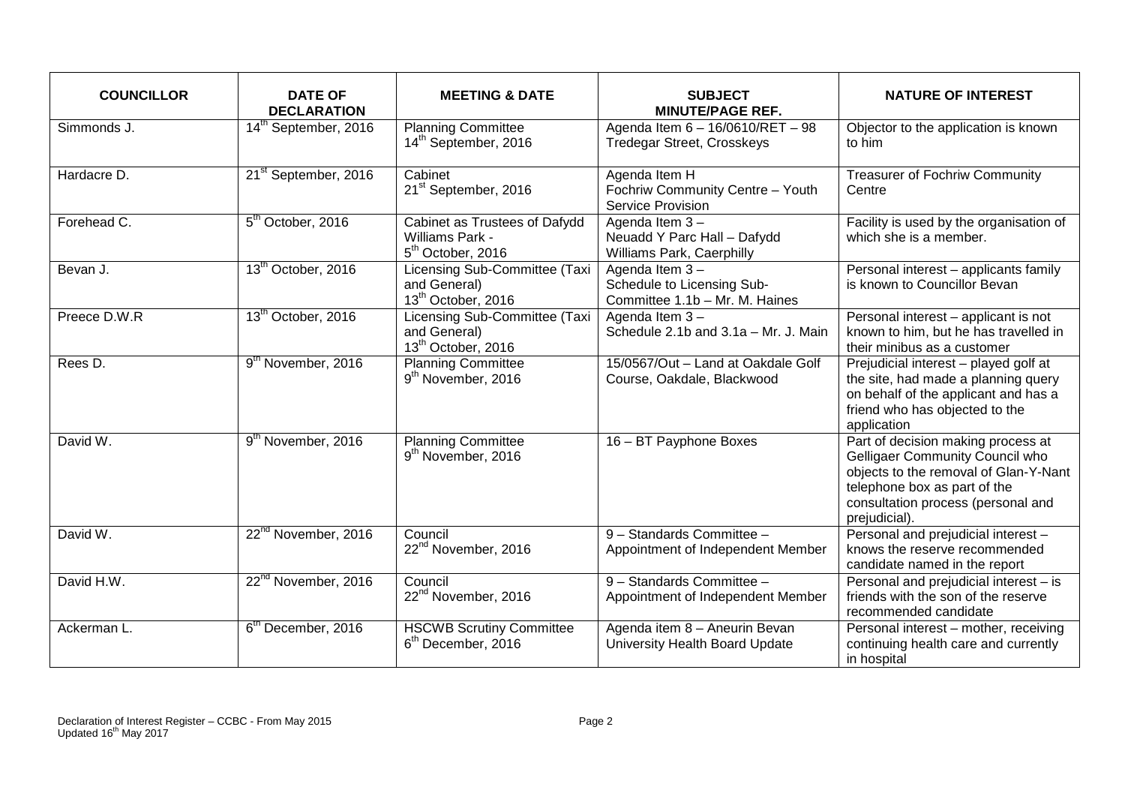| <b>COUNCILLOR</b> | <b>DATE OF</b><br><b>DECLARATION</b> | <b>MEETING &amp; DATE</b>                                                         | <b>SUBJECT</b><br><b>MINUTE/PAGE REF.</b>                                      | <b>NATURE OF INTEREST</b>                                                                                                                                                                             |
|-------------------|--------------------------------------|-----------------------------------------------------------------------------------|--------------------------------------------------------------------------------|-------------------------------------------------------------------------------------------------------------------------------------------------------------------------------------------------------|
| Simmonds J.       | 14 <sup>th</sup> September, 2016     | <b>Planning Committee</b><br>14 <sup>th</sup> September, 2016                     | Agenda Item 6 - 16/0610/RET - 98<br><b>Tredegar Street, Crosskeys</b>          | Objector to the application is known<br>to him                                                                                                                                                        |
| Hardacre D.       | 21 <sup>st</sup> September, 2016     | Cabinet<br>21 <sup>st</sup> September, 2016                                       | Agenda Item H<br>Fochriw Community Centre - Youth<br>Service Provision         | <b>Treasurer of Fochriw Community</b><br>Centre                                                                                                                                                       |
| Forehead C.       | 5 <sup>th</sup> October, 2016        | Cabinet as Trustees of Dafydd<br>Williams Park -<br>5 <sup>th</sup> October, 2016 | Agenda Item 3-<br>Neuadd Y Parc Hall - Dafydd<br>Williams Park, Caerphilly     | Facility is used by the organisation of<br>which she is a member.                                                                                                                                     |
| Bevan J.          | 13 <sup>th</sup> October, 2016       | Licensing Sub-Committee (Taxi<br>and General)<br>13 <sup>th</sup> October, 2016   | Agenda Item 3-<br>Schedule to Licensing Sub-<br>Committee 1.1b - Mr. M. Haines | Personal interest - applicants family<br>is known to Councillor Bevan                                                                                                                                 |
| Preece D.W.R      | 13 <sup>th</sup> October, 2016       | Licensing Sub-Committee (Taxi<br>and General)<br>13 <sup>th</sup> October, 2016   | Agenda Item $3 -$<br>Schedule 2.1b and 3.1a - Mr. J. Main                      | Personal interest - applicant is not<br>known to him, but he has travelled in<br>their minibus as a customer                                                                                          |
| Rees D.           | 9 <sup>th</sup> November, 2016       | <b>Planning Committee</b><br>9 <sup>th</sup> November, 2016                       | 15/0567/Out - Land at Oakdale Golf<br>Course, Oakdale, Blackwood               | Prejudicial interest - played golf at<br>the site, had made a planning query<br>on behalf of the applicant and has a<br>friend who has objected to the<br>application                                 |
| David W.          | 9 <sup>th</sup> November, 2016       | <b>Planning Committee</b><br>9 <sup>th</sup> November, 2016                       | 16 - BT Payphone Boxes                                                         | Part of decision making process at<br>Gelligaer Community Council who<br>objects to the removal of Glan-Y-Nant<br>telephone box as part of the<br>consultation process (personal and<br>prejudicial). |
| David W.          | 22 <sup>nd</sup> November, 2016      | Council<br>22 <sup>nd</sup> November, 2016                                        | 9 - Standards Committee -<br>Appointment of Independent Member                 | Personal and prejudicial interest -<br>knows the reserve recommended<br>candidate named in the report                                                                                                 |
| David H.W.        | 22 <sup>nd</sup> November, 2016      | Council<br>22 <sup>nd</sup> November, 2016                                        | 9 - Standards Committee -<br>Appointment of Independent Member                 | Personal and prejudicial interest - is<br>friends with the son of the reserve<br>recommended candidate                                                                                                |
| Ackerman L.       | 6 <sup>th</sup> December, 2016       | <b>HSCWB Scrutiny Committee</b><br>6 <sup>th</sup> December, 2016                 | Agenda item 8 - Aneurin Bevan<br>University Health Board Update                | Personal interest - mother, receiving<br>continuing health care and currently<br>in hospital                                                                                                          |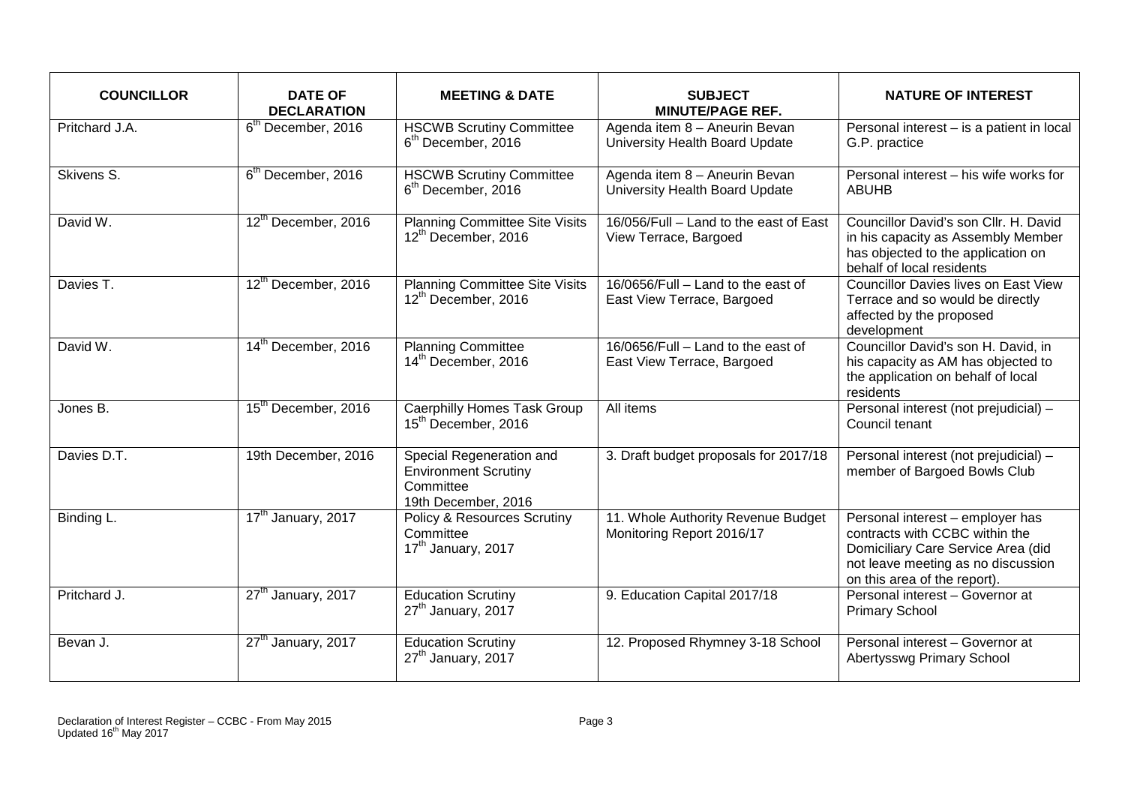| <b>COUNCILLOR</b> | <b>DATE OF</b><br><b>DECLARATION</b> | <b>MEETING &amp; DATE</b>                                                                   | <b>SUBJECT</b><br><b>MINUTE/PAGE REF.</b>                        | <b>NATURE OF INTEREST</b>                                                                                                                                                      |
|-------------------|--------------------------------------|---------------------------------------------------------------------------------------------|------------------------------------------------------------------|--------------------------------------------------------------------------------------------------------------------------------------------------------------------------------|
| Pritchard J.A.    | 6 <sup>th</sup> December, 2016       | <b>HSCWB Scrutiny Committee</b><br>$6th$ December, 2016                                     | Agenda item 8 - Aneurin Bevan<br>University Health Board Update  | Personal interest - is a patient in local<br>G.P. practice                                                                                                                     |
| Skivens S.        | 6 <sup>th</sup> December, 2016       | <b>HSCWB Scrutiny Committee</b><br>$6th$ December, 2016                                     | Agenda item 8 - Aneurin Bevan<br>University Health Board Update  | Personal interest - his wife works for<br><b>ABUHB</b>                                                                                                                         |
| David W.          | 12th December, 2016                  | <b>Planning Committee Site Visits</b><br>12th December, 2016                                | 16/056/Full - Land to the east of East<br>View Terrace, Bargoed  | Councillor David's son Cllr. H. David<br>in his capacity as Assembly Member<br>has objected to the application on<br>behalf of local residents                                 |
| Davies T.         | 12 <sup>th</sup> December, 2016      | <b>Planning Committee Site Visits</b><br>12th December, 2016                                | 16/0656/Full - Land to the east of<br>East View Terrace, Bargoed | <b>Councillor Davies lives on East View</b><br>Terrace and so would be directly<br>affected by the proposed<br>development                                                     |
| David W.          | 14 <sup>th</sup> December, 2016      | <b>Planning Committee</b><br>14 <sup>th</sup> December, 2016                                | 16/0656/Full - Land to the east of<br>East View Terrace, Bargoed | Councillor David's son H. David, in<br>his capacity as AM has objected to<br>the application on behalf of local<br>residents                                                   |
| Jones B.          | 15 <sup>th</sup> December, 2016      | <b>Caerphilly Homes Task Group</b><br>15 <sup>th</sup> December, 2016                       | All items                                                        | Personal interest (not prejudicial) $-$<br>Council tenant                                                                                                                      |
| Davies D.T.       | 19th December, 2016                  | Special Regeneration and<br><b>Environment Scrutiny</b><br>Committee<br>19th December, 2016 | 3. Draft budget proposals for 2017/18                            | Personal interest (not prejudicial) -<br>member of Bargoed Bowls Club                                                                                                          |
| Binding L.        | 17 <sup>th</sup> January, 2017       | <b>Policy &amp; Resources Scrutiny</b><br>Committee<br>17 <sup>th</sup> January, 2017       | 11. Whole Authority Revenue Budget<br>Monitoring Report 2016/17  | Personal interest - employer has<br>contracts with CCBC within the<br>Domiciliary Care Service Area (did<br>not leave meeting as no discussion<br>on this area of the report). |
| Pritchard J.      | 27 <sup>th</sup> January, 2017       | <b>Education Scrutiny</b><br>27 <sup>th</sup> January, 2017                                 | 9. Education Capital 2017/18                                     | Personal interest - Governor at<br><b>Primary School</b>                                                                                                                       |
| Bevan J.          | 27 <sup>th</sup> January, 2017       | <b>Education Scrutiny</b><br>27 <sup>th</sup> January, 2017                                 | 12. Proposed Rhymney 3-18 School                                 | Personal interest - Governor at<br>Abertysswg Primary School                                                                                                                   |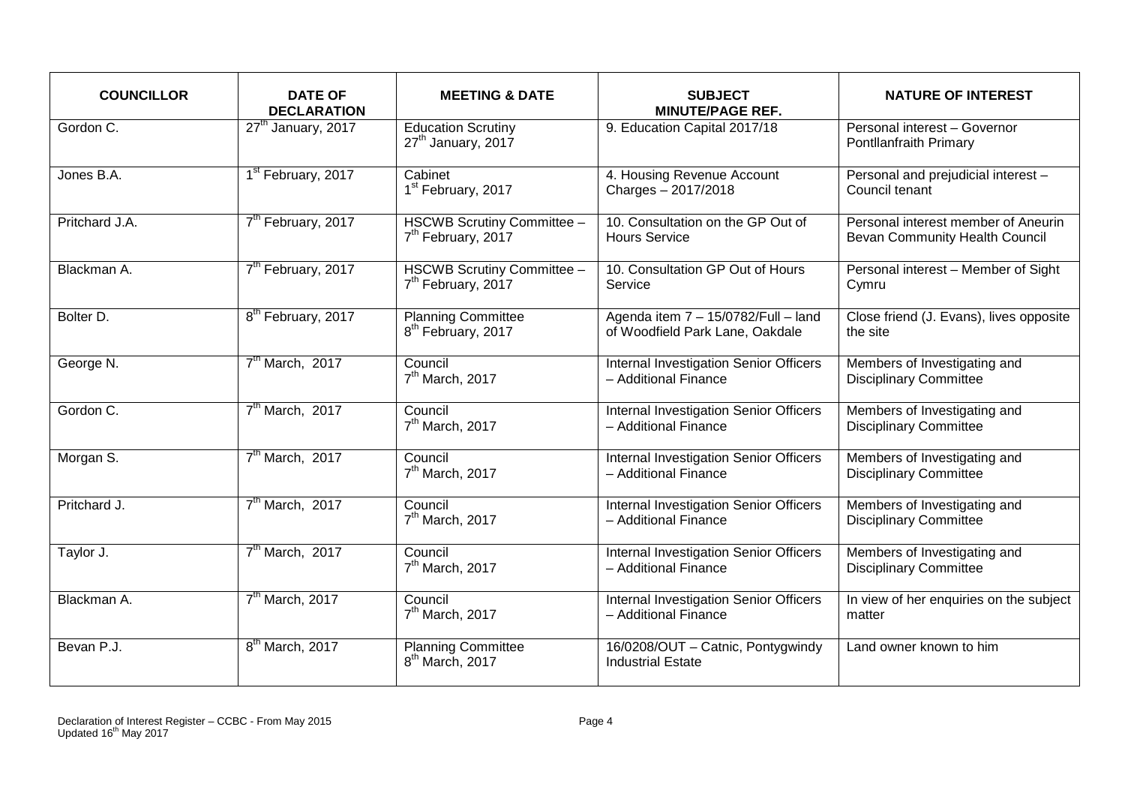| <b>COUNCILLOR</b>       | <b>DATE OF</b><br><b>DECLARATION</b> | <b>MEETING &amp; DATE</b>                                    | <b>SUBJECT</b><br><b>MINUTE/PAGE REF.</b>                              | <b>NATURE OF INTEREST</b>                                             |
|-------------------------|--------------------------------------|--------------------------------------------------------------|------------------------------------------------------------------------|-----------------------------------------------------------------------|
| Gordon $\overline{C}$ . | 27 <sup>th</sup> January, 2017       | <b>Education Scrutiny</b><br>27 <sup>th</sup> January, 2017  | 9. Education Capital 2017/18                                           | Personal interest - Governor<br>Pontllanfraith Primary                |
| Jones B.A.              | 1 <sup>st</sup> February, 2017       | Cabinet<br>1 <sup>st</sup> February, 2017                    | 4. Housing Revenue Account<br>Charges - 2017/2018                      | Personal and prejudicial interest -<br>Council tenant                 |
| Pritchard J.A.          | 7 <sup>th</sup> February, 2017       | HSCWB Scrutiny Committee -<br>7 <sup>th</sup> February, 2017 | 10. Consultation on the GP Out of<br><b>Hours Service</b>              | Personal interest member of Aneurin<br>Bevan Community Health Council |
| Blackman A.             | 7 <sup>th</sup> February, 2017       | HSCWB Scrutiny Committee -<br>7 <sup>th</sup> February, 2017 | 10. Consultation GP Out of Hours<br>Service                            | Personal interest - Member of Sight<br>Cymru                          |
| Bolter D.               | 8 <sup>th</sup> February, 2017       | <b>Planning Committee</b><br>8 <sup>th</sup> February, 2017  | Agenda item 7 - 15/0782/Full - land<br>of Woodfield Park Lane, Oakdale | Close friend (J. Evans), lives opposite<br>the site                   |
| George N.               | $7th$ March, 2017                    | Council<br>7 <sup>th</sup> March, 2017                       | Internal Investigation Senior Officers<br>- Additional Finance         | Members of Investigating and<br><b>Disciplinary Committee</b>         |
| Gordon C.               | 7 <sup>th</sup> March, 2017          | Council<br>$7th$ March, 2017                                 | Internal Investigation Senior Officers<br>- Additional Finance         | Members of Investigating and<br><b>Disciplinary Committee</b>         |
| Morgan S.               | 7 <sup>th</sup> March, 2017          | Council<br>$7th$ March, 2017                                 | Internal Investigation Senior Officers<br>- Additional Finance         | Members of Investigating and<br><b>Disciplinary Committee</b>         |
| Pritchard J.            | 7 <sup>th</sup> March, 2017          | Council<br>7 <sup>th</sup> March, 2017                       | Internal Investigation Senior Officers<br>- Additional Finance         | Members of Investigating and<br><b>Disciplinary Committee</b>         |
| Taylor J.               | $7th$ March, 2017                    | Council<br>7 <sup>th</sup> March, 2017                       | Internal Investigation Senior Officers<br>- Additional Finance         | Members of Investigating and<br><b>Disciplinary Committee</b>         |
| Blackman A.             | 7 <sup>th</sup> March, 2017          | Council<br>$7th$ March, 2017                                 | Internal Investigation Senior Officers<br>- Additional Finance         | In view of her enquiries on the subject<br>matter                     |
| Bevan P.J.              | 8 <sup>th</sup> March, 2017          | <b>Planning Committee</b><br>8 <sup>th</sup> March, 2017     | 16/0208/OUT - Catnic, Pontygwindy<br><b>Industrial Estate</b>          | Land owner known to him                                               |